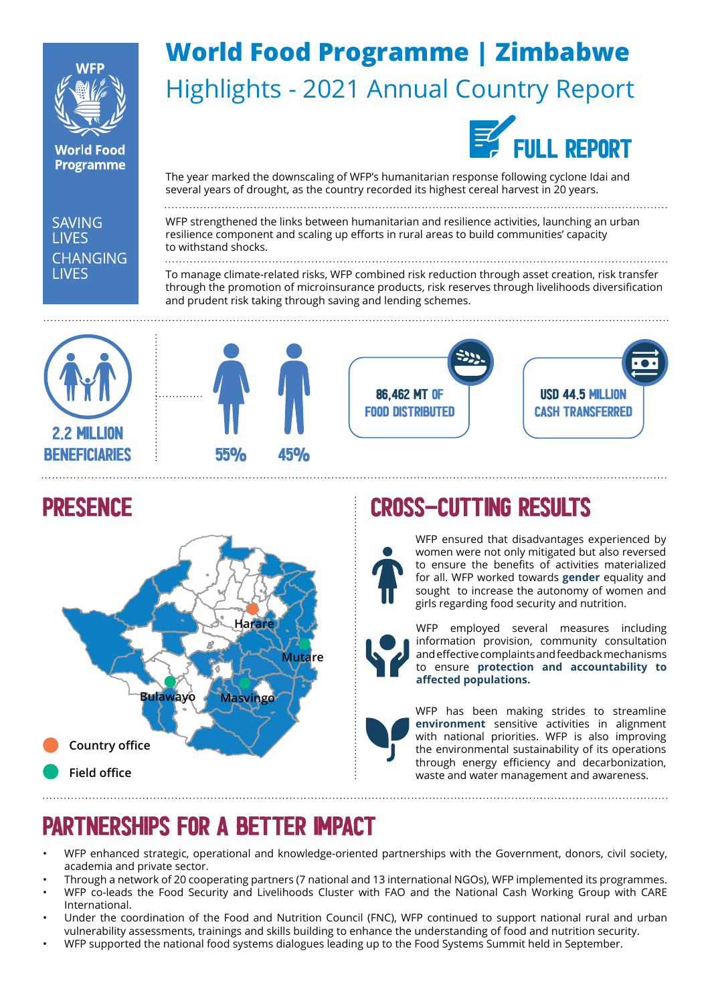

**World Food Programme** 

# **World Food Programme | Zimbabwe**  Highlights - 2021 Annual Country Report



The year marked the downscaling of WFP's humanitarian response following cyclone Idai and several years of drought, as the country recorded its highest cereal harvest in 20 years.

**SAVING LIVES CHANGING LIVES** 

#### WFP strengthened the links between humanitarian and resilience activities, launching an urban resilience component and scaling up efforts in rural areas to build communities' capacity to withstand shocks.

To manage climate-related risks, WFP combined risk reduction through asset creation, risk transfer through the promotion of microinsurance products, risk reserves through livelihoods diversification and prudent risk taking through saving and lending schemes.









#### presence



# CROSS-CUTTING RESULTS



WFP ensured that disadvantages experienced by women were not only mitigated but also reversed to ensure the benefits of activities materialized for all. WFP worked towards **gender** equality and sought to increase the autonomy of women and girls regarding food security and nutrition.



WFP employed several measures including information provision, community consultation and effective complaints and feedback mechanisms to ensure **protection and accountability to affected populations.** 

WFP has been making strides to streamline **environment** sensitive activities in alignment with national priorities. WFP is also improving the environmental sustainability of its operations through energy efficiency and decarbonization, waste and water management and awareness.

# Partnerships for a better impact

- WFP enhanced strategic, operational and knowledge-oriented partnerships with the Government, donors, civil society, academia and private sector.
- Through a network of 20 cooperating partners (7 national and 13 international NGOs), WFP implemented its programmes.
- WFP co-leads the Food Security and Livelihoods Cluster with FAO and the National Cash Working Group with CARE International.
- Under the coordination of the Food and Nutrition Council (FNC), WFP continued to support national rural and urban vulnerability assessments, trainings and skills building to enhance the understanding of food and nutrition security.
- WFP supported the national food systems dialogues leading up to the Food Systems Summit held in September.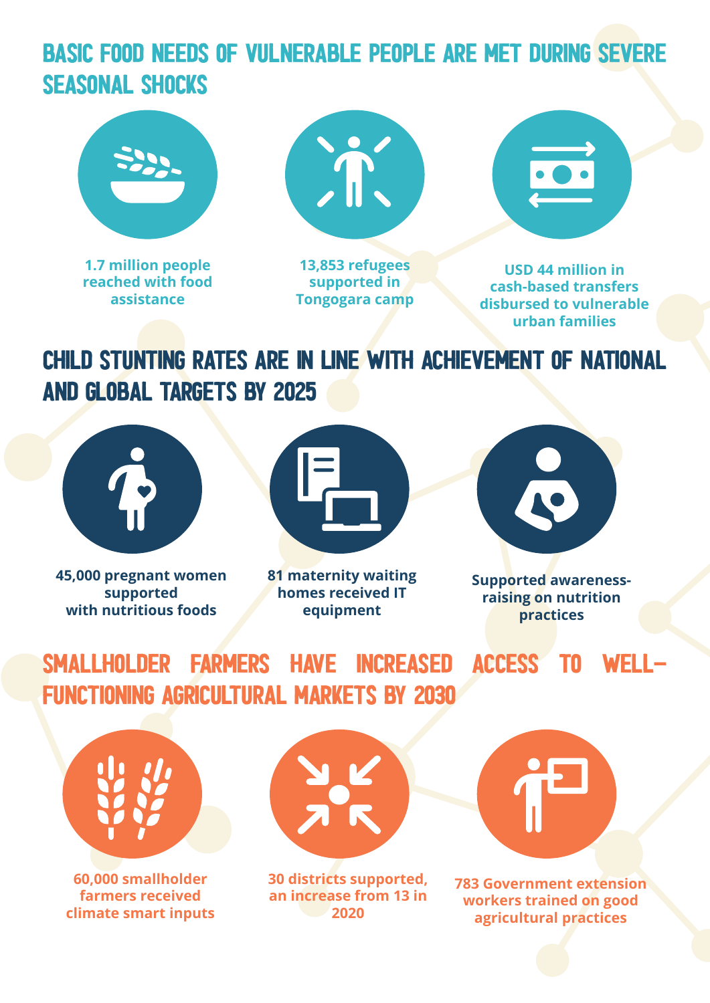### basic food needs of vulnerable people are met during severe seasonal shocks



**1.7 million people reached with food assistance**



**13,853 refugees supported in Tongogara camp**

**USD 44 million in cash-based transfers disbursed to vulnerable urban families**

# child stunting rates are in line with achievement of national and global targets by 2025



**45,000 pregnant women supported with nutritious foods**



**81 maternity waiting homes received IT equipment**



**Supported awarenessraising on nutrition practices**

smallholder farmers have increased access to wellfunctioning agricultural markets by 2030



**60,000 smallholder farmers received climate smart inputs**



**30 districts supported, an increase from 13 in 2020**



**783 Government extension workers trained on good agricultural practices**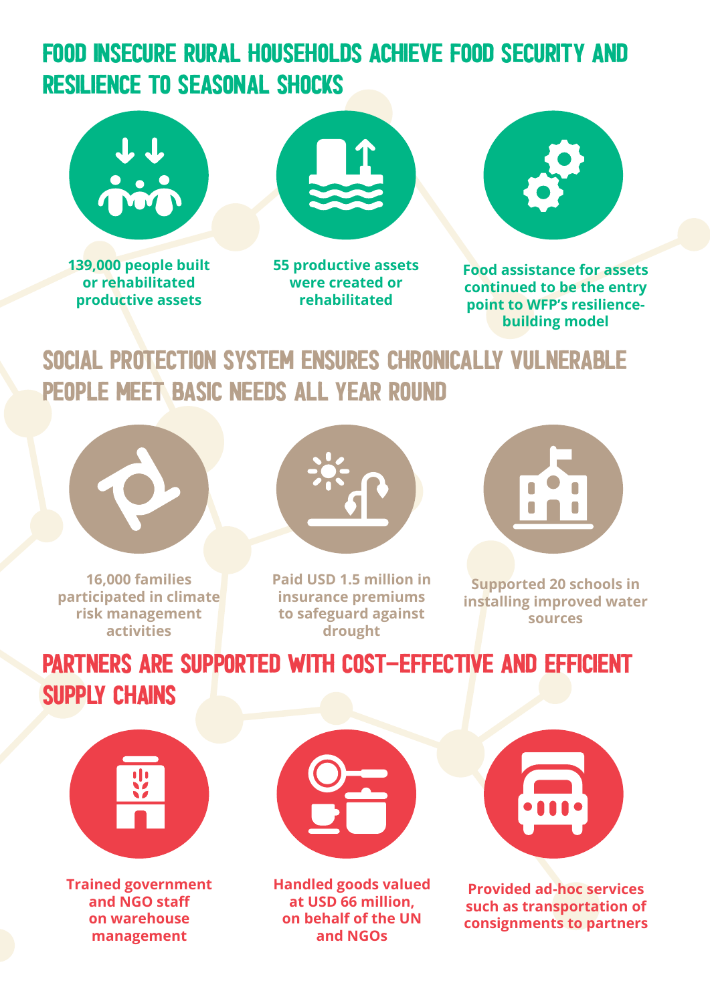### food insecure rural households achieve food security and resilience to seasonal shocks







**55 productive assets were created or rehabilitated**



**Food assistance for assets continued to be the entry point to WFP's resiliencebuilding model**

#### social protection system ensures chronically vulnerable people meet basic needs all year round



**16,000 families participated in climate risk management activities**



**Paid USD 1.5 million in insurance premiums to safeguard against drought**



**Supported 20 schools in installing improved water sources**

# partners are supported with cost-effective and efficient supply chains



**Trained government and NGO staff on warehouse management**



**Handled goods valued at USD 66 million, on behalf of the UN and NGOs**



**Provided ad-hoc services such as transportation of consignments to partners**